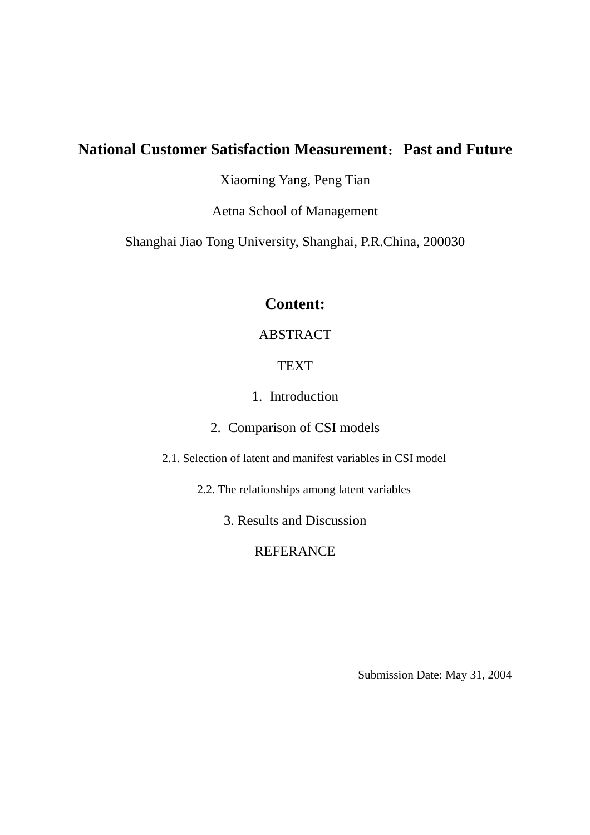# **National Customer Satisfaction Measurement**:**Past and Future**

Xiaoming Yang, Peng Tian

Aetna School of Management

Shanghai Jiao Tong University, Shanghai, P.R.China, 200030

# **Content:**

## ABSTRACT

## **TEXT**

1. Introduction

## 2. Comparison of CSI models

2.1. Selection of latent and manifest variables in CSI model

2.2. The relationships among latent variables

3. Results and Discussion

REFERANCE

Submission Date: May 31, 2004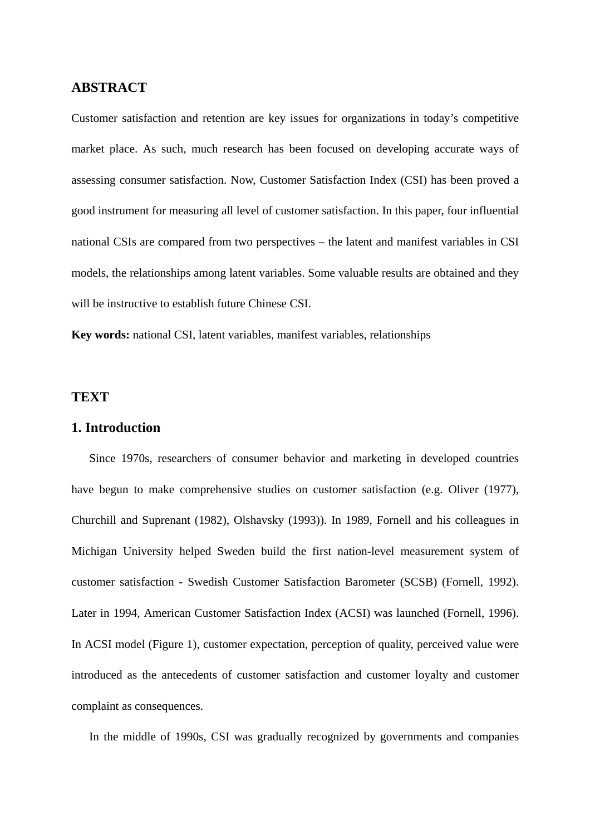## **ABSTRACT**

Customer satisfaction and retention are key issues for organizations in today's competitive market place. As such, much research has been focused on developing accurate ways of assessing consumer satisfaction. Now, Customer Satisfaction Index (CSI) has been proved a good instrument for measuring all level of customer satisfaction. In this paper, four influential national CSIs are compared from two perspectives – the latent and manifest variables in CSI models, the relationships among latent variables. Some valuable results are obtained and they will be instructive to establish future Chinese CSI.

**Key words:** national CSI, latent variables, manifest variables, relationships

### **TEXT**

#### **1. Introduction**

Since 1970s, researchers of consumer behavior and marketing in developed countries have begun to make comprehensive studies on customer satisfaction (e.g. Oliver (1977), Churchill and Suprenant (1982), Olshavsky (1993)). In 1989, Fornell and his colleagues in Michigan University helped Sweden build the first nation-level measurement system of customer satisfaction - Swedish Customer Satisfaction Barometer (SCSB) (Fornell, 1992). Later in 1994, American Customer Satisfaction Index (ACSI) was launched (Fornell, 1996). In ACSI model (Figure 1), customer expectation, perception of quality, perceived value were introduced as the antecedents of customer satisfaction and customer loyalty and customer complaint as consequences.

In the middle of 1990s, CSI was gradually recognized by governments and companies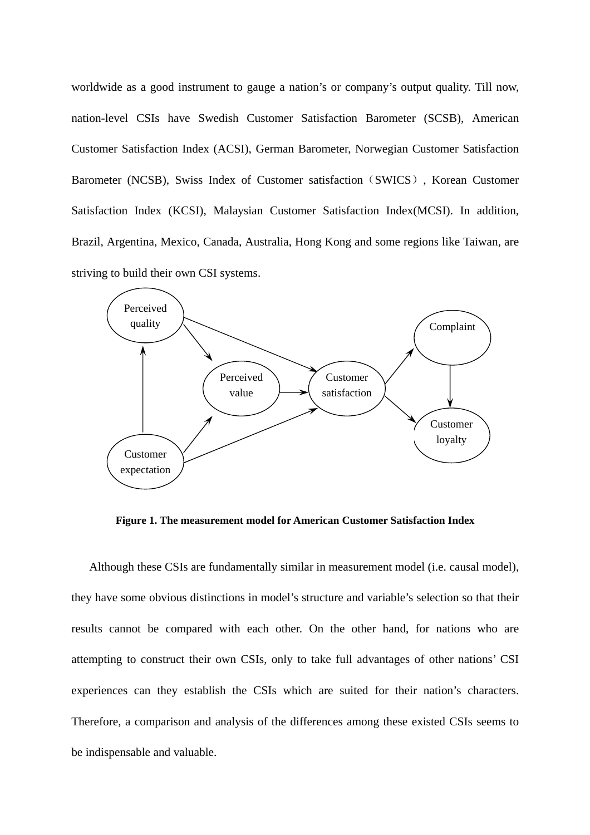worldwide as a good instrument to gauge a nation's or company's output quality. Till now, nation-level CSIs have Swedish Customer Satisfaction Barometer (SCSB), American Customer Satisfaction Index (ACSI), German Barometer, Norwegian Customer Satisfaction Barometer (NCSB), Swiss Index of Customer satisfaction (SWICS), Korean Customer Satisfaction Index (KCSI), Malaysian Customer Satisfaction Index(MCSI). In addition, Brazil, Argentina, Mexico, Canada, Australia, Hong Kong and some regions like Taiwan, are striving to build their own CSI systems.



**Figure 1. The measurement model for American Customer Satisfaction Index** 

Although these CSIs are fundamentally similar in measurement model (i.e. causal model), they have some obvious distinctions in model's structure and variable's selection so that their results cannot be compared with each other. On the other hand, for nations who are attempting to construct their own CSIs, only to take full advantages of other nations' CSI experiences can they establish the CSIs which are suited for their nation's characters. Therefore, a comparison and analysis of the differences among these existed CSIs seems to be indispensable and valuable.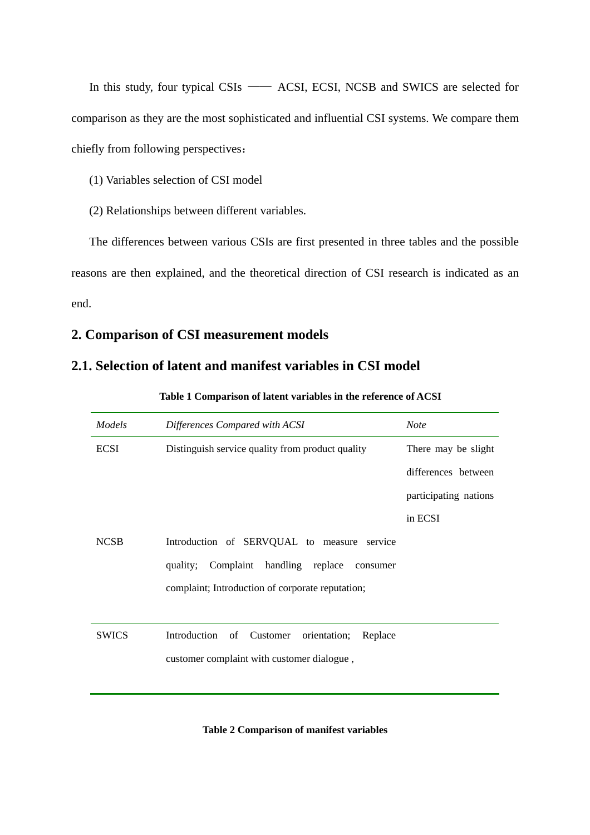In this study, four typical CSIs —— ACSI, ECSI, NCSB and SWICS are selected for comparison as they are the most sophisticated and influential CSI systems. We compare them chiefly from following perspectives:

(1) Variables selection of CSI model

(2) Relationships between different variables.

The differences between various CSIs are first presented in three tables and the possible reasons are then explained, and the theoretical direction of CSI research is indicated as an end.

## **2. Comparison of CSI measurement models**

## **2.1. Selection of latent and manifest variables in CSI model**

| Models       | Differences Compared with ACSI                      | <b>Note</b>           |
|--------------|-----------------------------------------------------|-----------------------|
| <b>ECSI</b>  | Distinguish service quality from product quality    | There may be slight   |
|              |                                                     | differences between   |
|              |                                                     | participating nations |
|              |                                                     | in ECSI               |
| <b>NCSB</b>  | Introduction of SERVQUAL to measure service         |                       |
|              | quality; Complaint handling replace<br>consumer     |                       |
|              | complaint; Introduction of corporate reputation;    |                       |
|              |                                                     |                       |
| <b>SWICS</b> | Introduction of<br>Customer<br>orientation; Replace |                       |
|              | customer complaint with customer dialogue,          |                       |
|              |                                                     |                       |
|              |                                                     |                       |

#### **Table 1 Comparison of latent variables in the reference of ACSI**

**Table 2 Comparison of manifest variables**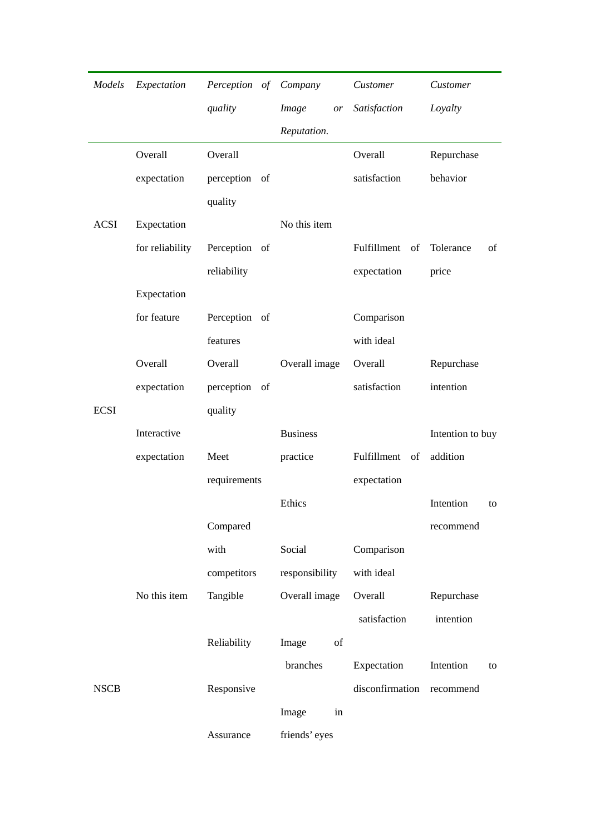| Models      | Expectation     | Perception of Company |                 | Customer          | Customer         |
|-------------|-----------------|-----------------------|-----------------|-------------------|------------------|
|             |                 | quality               | Image<br>or     | Satisfaction      | Loyalty          |
|             |                 |                       | Reputation.     |                   |                  |
|             | Overall         | Overall               |                 | Overall           | Repurchase       |
|             | expectation     | perception of         |                 | satisfaction      | behavior         |
|             |                 | quality               |                 |                   |                  |
| <b>ACSI</b> | Expectation     |                       | No this item    |                   |                  |
|             | for reliability | Perception of         |                 | Fulfillment<br>of | Tolerance<br>of  |
|             |                 | reliability           |                 | expectation       | price            |
|             | Expectation     |                       |                 |                   |                  |
|             | for feature     | Perception of         |                 | Comparison        |                  |
|             |                 | features              |                 | with ideal        |                  |
|             | Overall         | Overall               | Overall image   | Overall           | Repurchase       |
|             | expectation     | perception of         |                 | satisfaction      | intention        |
| <b>ECSI</b> |                 | quality               |                 |                   |                  |
|             | Interactive     |                       | <b>Business</b> |                   | Intention to buy |
|             | expectation     | Meet                  | practice        | Fulfillment<br>of | addition         |
|             |                 | requirements          |                 | expectation       |                  |
|             |                 |                       | Ethics          |                   | Intention<br>to  |
|             |                 | Compared              |                 |                   | recommend        |
|             |                 | with                  | Social          | Comparison        |                  |
|             |                 | competitors           | responsibility  | with ideal        |                  |
|             | No this item    | Tangible              | Overall image   | Overall           | Repurchase       |
|             |                 |                       |                 | satisfaction      | intention        |
|             |                 | Reliability           | of<br>Image     |                   |                  |
|             |                 |                       | branches        | Expectation       | Intention<br>to  |
| <b>NSCB</b> |                 | Responsive            |                 | disconfirmation   | recommend        |
|             |                 |                       | Image<br>in     |                   |                  |
|             |                 | Assurance             | friends' eyes   |                   |                  |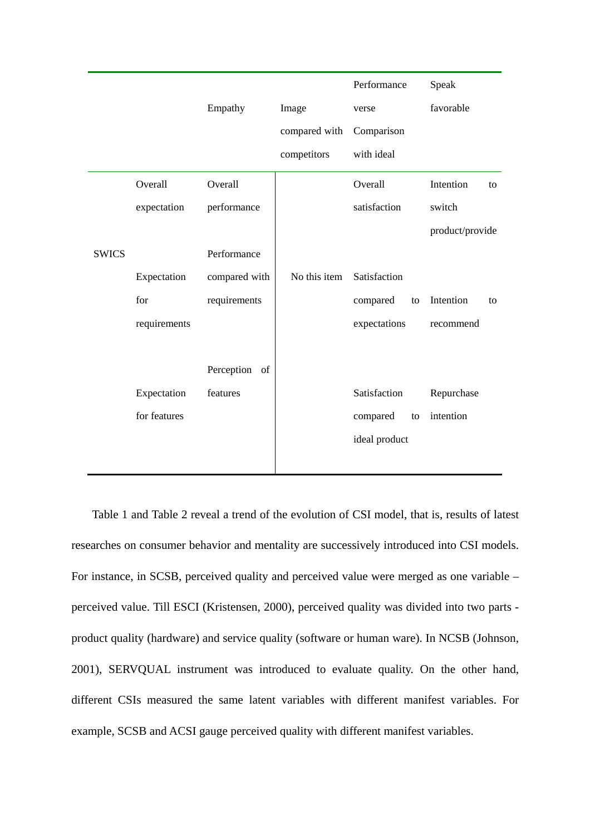

Table 1 and Table 2 reveal a trend of the evolution of CSI model, that is, results of latest researches on consumer behavior and mentality are successively introduced into CSI models. For instance, in SCSB, perceived quality and perceived value were merged as one variable – perceived value. Till ESCI (Kristensen, 2000), perceived quality was divided into two parts product quality (hardware) and service quality (software or human ware). In NCSB (Johnson, 2001), SERVQUAL instrument was introduced to evaluate quality. On the other hand, different CSIs measured the same latent variables with different manifest variables. For example, SCSB and ACSI gauge perceived quality with different manifest variables.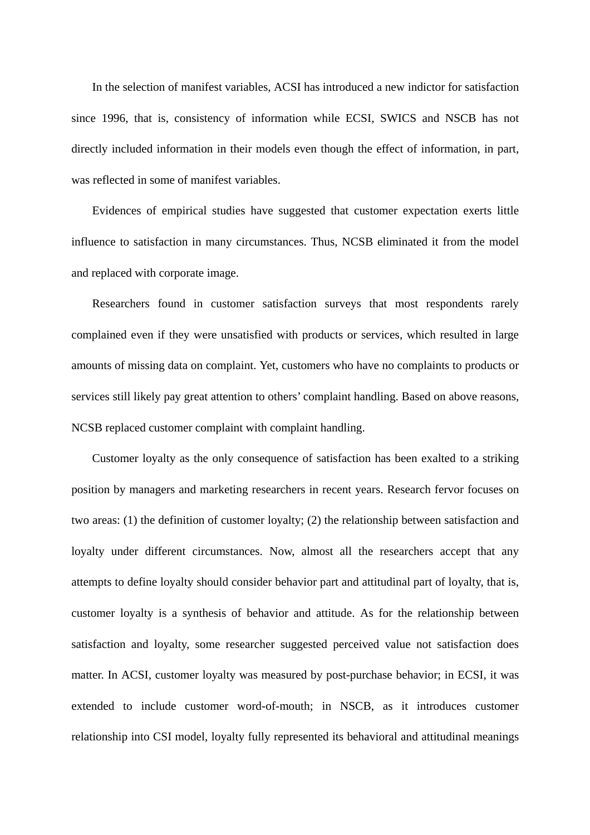In the selection of manifest variables, ACSI has introduced a new indictor for satisfaction since 1996, that is, consistency of information while ECSI, SWICS and NSCB has not directly included information in their models even though the effect of information, in part, was reflected in some of manifest variables.

Evidences of empirical studies have suggested that customer expectation exerts little influence to satisfaction in many circumstances. Thus, NCSB eliminated it from the model and replaced with corporate image.

Researchers found in customer satisfaction surveys that most respondents rarely complained even if they were unsatisfied with products or services, which resulted in large amounts of missing data on complaint. Yet, customers who have no complaints to products or services still likely pay great attention to others' complaint handling. Based on above reasons, NCSB replaced customer complaint with complaint handling.

Customer loyalty as the only consequence of satisfaction has been exalted to a striking position by managers and marketing researchers in recent years. Research fervor focuses on two areas: (1) the definition of customer loyalty; (2) the relationship between satisfaction and loyalty under different circumstances. Now, almost all the researchers accept that any attempts to define loyalty should consider behavior part and attitudinal part of loyalty, that is, customer loyalty is a synthesis of behavior and attitude. As for the relationship between satisfaction and loyalty, some researcher suggested perceived value not satisfaction does matter. In ACSI, customer loyalty was measured by post-purchase behavior; in ECSI, it was extended to include customer word-of-mouth; in NSCB, as it introduces customer relationship into CSI model, loyalty fully represented its behavioral and attitudinal meanings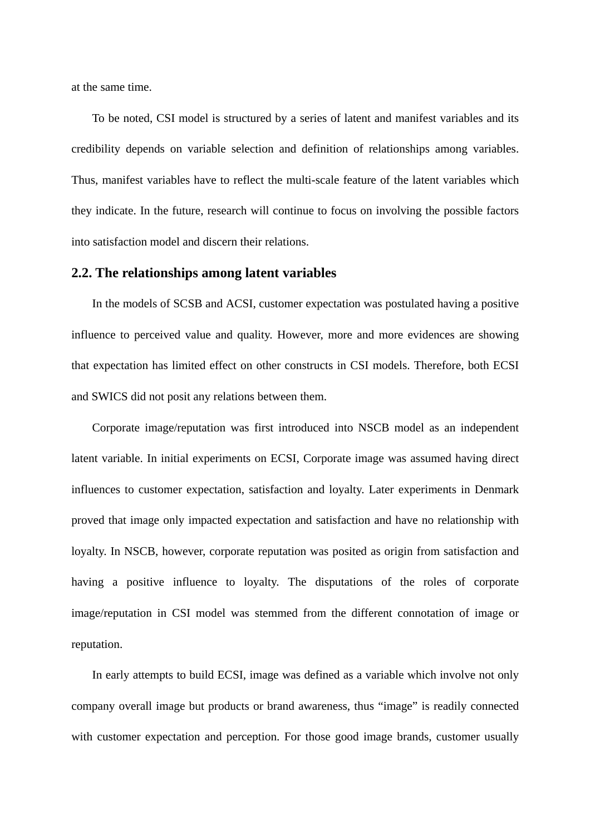at the same time.

To be noted, CSI model is structured by a series of latent and manifest variables and its credibility depends on variable selection and definition of relationships among variables. Thus, manifest variables have to reflect the multi-scale feature of the latent variables which they indicate. In the future, research will continue to focus on involving the possible factors into satisfaction model and discern their relations.

#### **2.2. The relationships among latent variables**

In the models of SCSB and ACSI, customer expectation was postulated having a positive influence to perceived value and quality. However, more and more evidences are showing that expectation has limited effect on other constructs in CSI models. Therefore, both ECSI and SWICS did not posit any relations between them.

Corporate image/reputation was first introduced into NSCB model as an independent latent variable. In initial experiments on ECSI, Corporate image was assumed having direct influences to customer expectation, satisfaction and loyalty. Later experiments in Denmark proved that image only impacted expectation and satisfaction and have no relationship with loyalty. In NSCB, however, corporate reputation was posited as origin from satisfaction and having a positive influence to loyalty. The disputations of the roles of corporate image/reputation in CSI model was stemmed from the different connotation of image or reputation.

In early attempts to build ECSI, image was defined as a variable which involve not only company overall image but products or brand awareness, thus "image" is readily connected with customer expectation and perception. For those good image brands, customer usually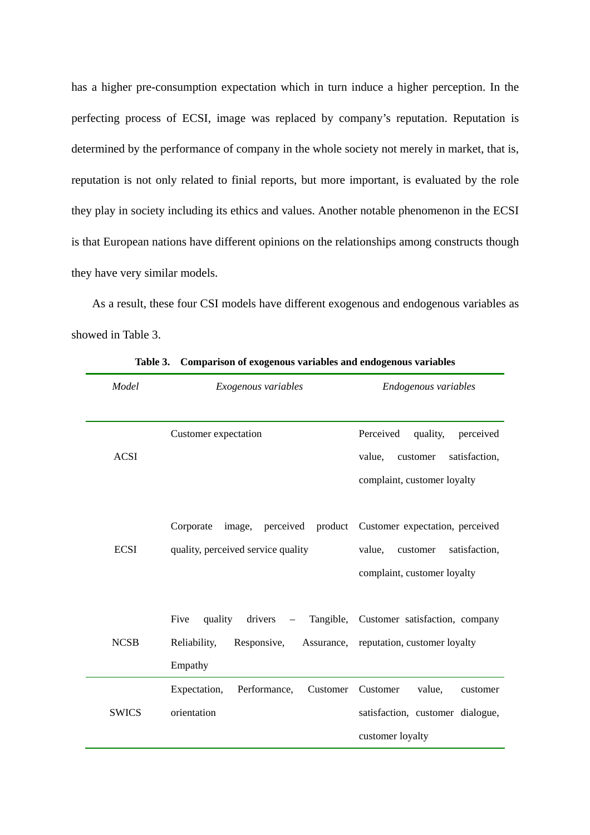has a higher pre-consumption expectation which in turn induce a higher perception. In the perfecting process of ECSI, image was replaced by company's reputation. Reputation is determined by the performance of company in the whole society not merely in market, that is, reputation is not only related to finial reports, but more important, is evaluated by the role they play in society including its ethics and values. Another notable phenomenon in the ECSI is that European nations have different opinions on the relationships among constructs though they have very similar models.

 As a result, these four CSI models have different exogenous and endogenous variables as showed in Table 3.

| Model        | Exogenous variables                                                                           | Endogenous variables                                                                                                           |  |
|--------------|-----------------------------------------------------------------------------------------------|--------------------------------------------------------------------------------------------------------------------------------|--|
| <b>ACSI</b>  | Customer expectation                                                                          | Perceived<br>quality,<br>perceived<br>value,<br>satisfaction,<br>customer<br>complaint, customer loyalty                       |  |
| <b>ECSI</b>  | Corporate<br>quality, perceived service quality                                               | image, perceived product Customer expectation, perceived<br>value,<br>customer<br>satisfaction,<br>complaint, customer loyalty |  |
| <b>NCSB</b>  | Five<br>quality drivers<br>$\overline{\phantom{m}}$<br>Reliability,<br>Responsive,<br>Empathy | Tangible, Customer satisfaction, company<br>Assurance, reputation, customer loyalty                                            |  |
| <b>SWICS</b> | Expectation,<br>Performance,<br>Customer<br>orientation                                       | Customer<br>value,<br>customer<br>satisfaction, customer dialogue,<br>customer loyalty                                         |  |

**Table 3. Comparison of exogenous variables and endogenous variables**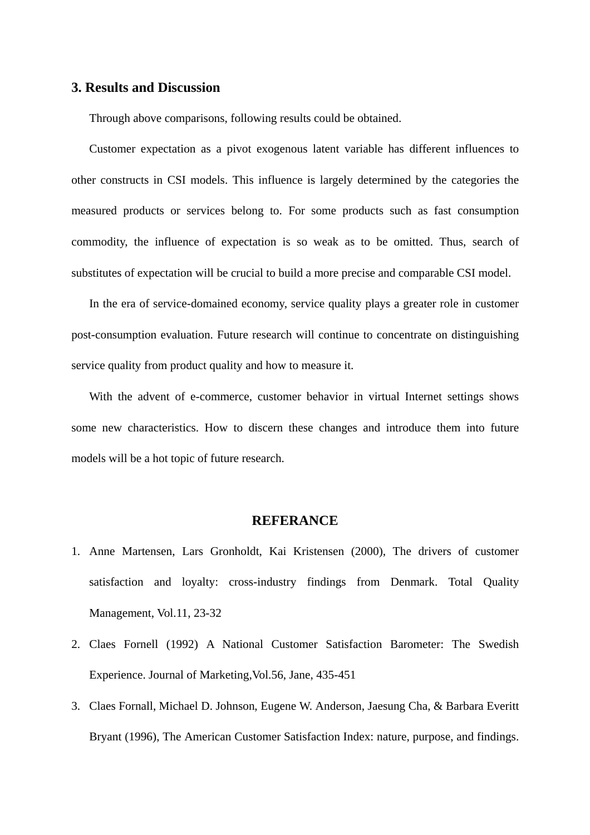### **3. Results and Discussion**

Through above comparisons, following results could be obtained.

Customer expectation as a pivot exogenous latent variable has different influences to other constructs in CSI models. This influence is largely determined by the categories the measured products or services belong to. For some products such as fast consumption commodity, the influence of expectation is so weak as to be omitted. Thus, search of substitutes of expectation will be crucial to build a more precise and comparable CSI model.

In the era of service-domained economy, service quality plays a greater role in customer post-consumption evaluation. Future research will continue to concentrate on distinguishing service quality from product quality and how to measure it.

With the advent of e-commerce, customer behavior in virtual Internet settings shows some new characteristics. How to discern these changes and introduce them into future models will be a hot topic of future research.

### **REFERANCE**

- 1. Anne Martensen, Lars Gronholdt, Kai Kristensen (2000), The drivers of customer satisfaction and loyalty: cross-industry findings from Denmark. Total Quality Management, Vol.11, 23-32
- 2. Claes Fornell (1992) A National Customer Satisfaction Barometer: The Swedish Experience. Journal of Marketing,Vol.56, Jane, 435-451
- 3. Claes Fornall, [Michael D. Johnson,](http://global.umi.com/pqdweb?RQT=305&SQ=AUTHOR(Michael%20D%20Johnson)&SMR=1&SAid=0&SAName=sa_menu&JSEnabled=1&TS=1050726878) Eugene W. Anderson, Jaesung Cha, & Barbara Everitt Bryant (1996), The American Customer Satisfaction Index: nature, purpose, and findings.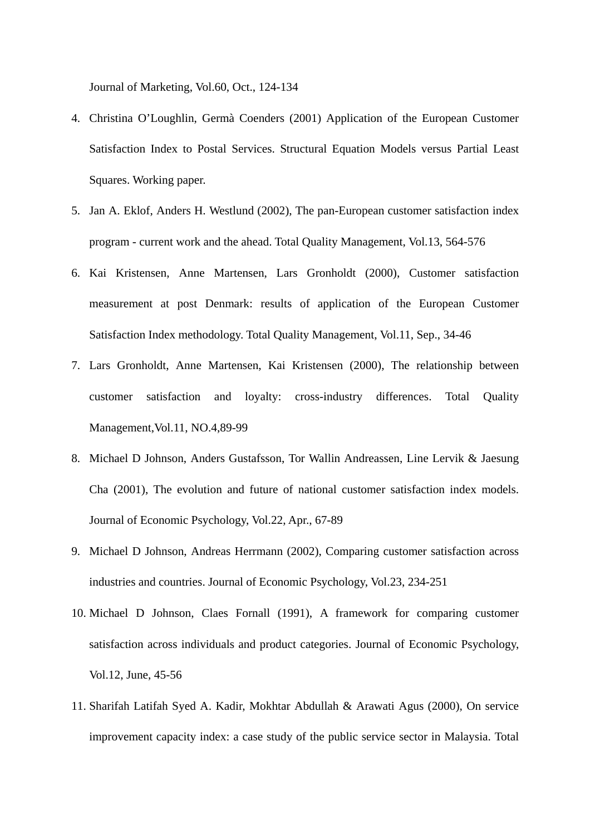Journal of Marketing, Vol.60, Oct., 124-134

- 4. Christina O'Loughlin, Germà Coenders (2001) Application of the European Customer Satisfaction Index to Postal Services. Structural Equation Models versus Partial Least Squares. Working paper.
- 5. Jan A. Eklof, Anders H. Westlund (2002), The pan-European customer satisfaction index program - current work and the ahead. Total Quality Management, Vol.13, 564-576
- 6. Kai Kristensen, Anne Martensen, Lars Gronholdt (2000), Customer satisfaction measurement at post Denmark: results of application of the European Customer Satisfaction Index methodology. Total Quality Management, Vol.11, Sep., 34-46
- 7. Lars Gronholdt, Anne Martensen, Kai Kristensen (2000), The relationship between customer satisfaction and loyalty: cross-industry differences. Total Quality Management,Vol.11, NO.4,89-99
- 8. [Michael D Johnson](http://global.umi.com/pqdweb?RQT=305&SQ=AUTHOR(Michael%20D%20Johnson)&SMR=1&SAid=0&SAName=sa_menu&JSEnabled=1&TS=1050726878), [Anders Gustafsson](http://global.umi.com/pqdweb?RQT=305&SQ=AUTHOR(Anders%20Gustafsson)&SMR=1&SAid=0&SAName=sa_menu&JSEnabled=1&TS=1050726878), [Tor Wallin Andreassen](http://global.umi.com/pqdweb?RQT=305&SQ=AUTHOR(Tor%20Wallin%20Andreassen)&SMR=1&SAid=0&SAName=sa_menu&JSEnabled=1&TS=1050726878), [Line Lervik](http://global.umi.com/pqdweb?RQT=305&SQ=AUTHOR(Line%20Lervik)&SMR=1&SAid=0&SAName=sa_menu&JSEnabled=1&TS=1050726878) & [Jaesung](http://global.umi.com/pqdweb?RQT=305&SQ=AUTHOR(Jaesung%20Cha)&SMR=1&SAid=0&SAName=sa_menu&JSEnabled=1&TS=1050726878)  [Cha](http://global.umi.com/pqdweb?RQT=305&SQ=AUTHOR(Jaesung%20Cha)&SMR=1&SAid=0&SAName=sa_menu&JSEnabled=1&TS=1050726878) (2001), The evolution and future of national customer satisfaction index models. Journal of Economic Psychology, Vol.22, Apr., 67-89
- 9. [Michael D Johnson,](http://global.umi.com/pqdweb?RQT=305&SQ=AUTHOR(Michael%20D%20Johnson)&SMR=1&SAid=0&SAName=sa_menu&JSEnabled=1&TS=1050726878) Andreas Herrmann (2002), Comparing customer satisfaction across industries and countries. Journal of Economic Psychology, Vol.23, 234-251
- 10. [Michael D Johnson,](http://global.umi.com/pqdweb?RQT=305&SQ=AUTHOR(Michael%20D%20Johnson)&SMR=1&SAid=0&SAName=sa_menu&JSEnabled=1&TS=1050726878) Claes Fornall (1991), A framework for comparing customer satisfaction across individuals and product categories. Journal of Economic Psychology, Vol.12, June, 45-56
- 11. Sharifah Latifah Syed A. Kadir, Mokhtar Abdullah & Arawati Agus (2000), On service improvement capacity index: a case study of the public service sector in Malaysia. Total